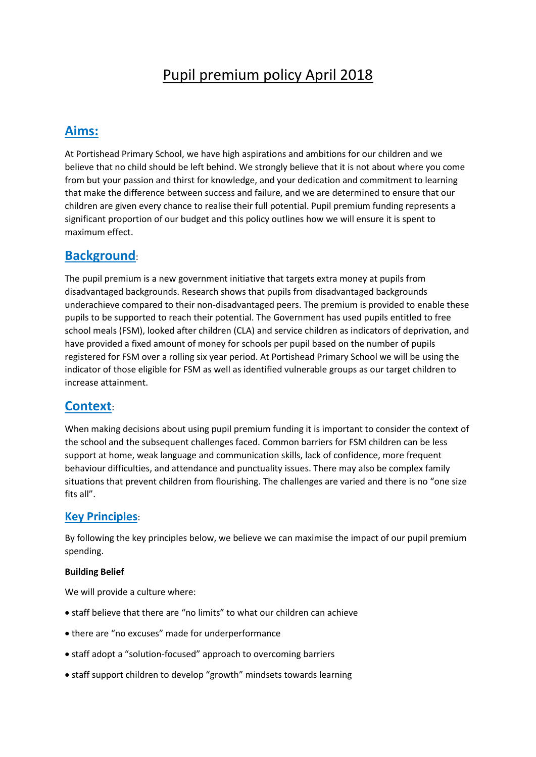# Pupil premium policy April 2018

# **Aims:**

At Portishead Primary School, we have high aspirations and ambitions for our children and we believe that no child should be left behind. We strongly believe that it is not about where you come from but your passion and thirst for knowledge, and your dedication and commitment to learning that make the difference between success and failure, and we are determined to ensure that our children are given every chance to realise their full potential. Pupil premium funding represents a significant proportion of our budget and this policy outlines how we will ensure it is spent to maximum effect.

# **Background**:

The pupil premium is a new government initiative that targets extra money at pupils from disadvantaged backgrounds. Research shows that pupils from disadvantaged backgrounds underachieve compared to their non-disadvantaged peers. The premium is provided to enable these pupils to be supported to reach their potential. The Government has used pupils entitled to free school meals (FSM), looked after children (CLA) and service children as indicators of deprivation, and have provided a fixed amount of money for schools per pupil based on the number of pupils registered for FSM over a rolling six year period. At Portishead Primary School we will be using the indicator of those eligible for FSM as well as identified vulnerable groups as our target children to increase attainment.

# **Context**:

When making decisions about using pupil premium funding it is important to consider the context of the school and the subsequent challenges faced. Common barriers for FSM children can be less support at home, weak language and communication skills, lack of confidence, more frequent behaviour difficulties, and attendance and punctuality issues. There may also be complex family situations that prevent children from flourishing. The challenges are varied and there is no "one size fits all".

### **Key Principles**:

By following the key principles below, we believe we can maximise the impact of our pupil premium spending.

#### **Building Belief**

We will provide a culture where:

- staff believe that there are "no limits" to what our children can achieve
- there are "no excuses" made for underperformance
- staff adopt a "solution-focused" approach to overcoming barriers
- staff support children to develop "growth" mindsets towards learning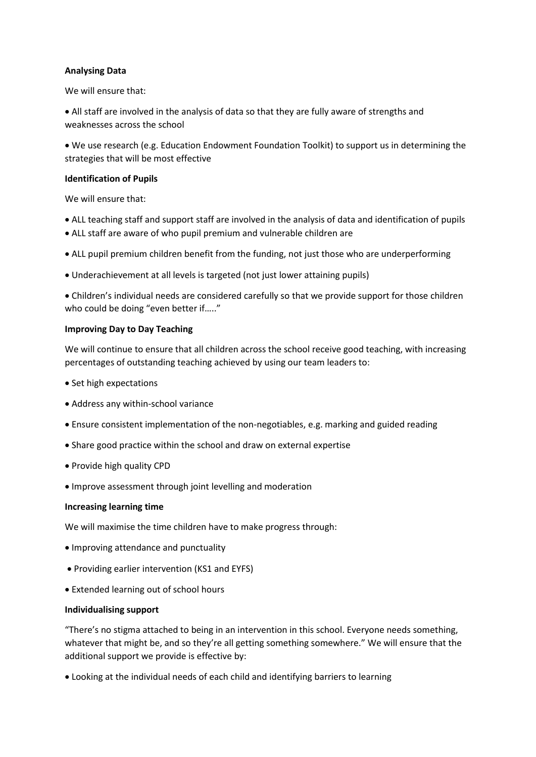#### **Analysing Data**

We will ensure that:

 All staff are involved in the analysis of data so that they are fully aware of strengths and weaknesses across the school

 We use research (e.g. Education Endowment Foundation Toolkit) to support us in determining the strategies that will be most effective

#### **Identification of Pupils**

We will ensure that:

- ALL teaching staff and support staff are involved in the analysis of data and identification of pupils
- ALL staff are aware of who pupil premium and vulnerable children are
- ALL pupil premium children benefit from the funding, not just those who are underperforming
- Underachievement at all levels is targeted (not just lower attaining pupils)

 Children's individual needs are considered carefully so that we provide support for those children who could be doing "even better if….."

#### **Improving Day to Day Teaching**

We will continue to ensure that all children across the school receive good teaching, with increasing percentages of outstanding teaching achieved by using our team leaders to:

- Set high expectations
- Address any within-school variance
- Ensure consistent implementation of the non-negotiables, e.g. marking and guided reading
- Share good practice within the school and draw on external expertise
- Provide high quality CPD
- Improve assessment through joint levelling and moderation

#### **Increasing learning time**

We will maximise the time children have to make progress through:

- Improving attendance and punctuality
- Providing earlier intervention (KS1 and EYFS)
- Extended learning out of school hours

#### **Individualising support**

"There's no stigma attached to being in an intervention in this school. Everyone needs something, whatever that might be, and so they're all getting something somewhere." We will ensure that the additional support we provide is effective by:

Looking at the individual needs of each child and identifying barriers to learning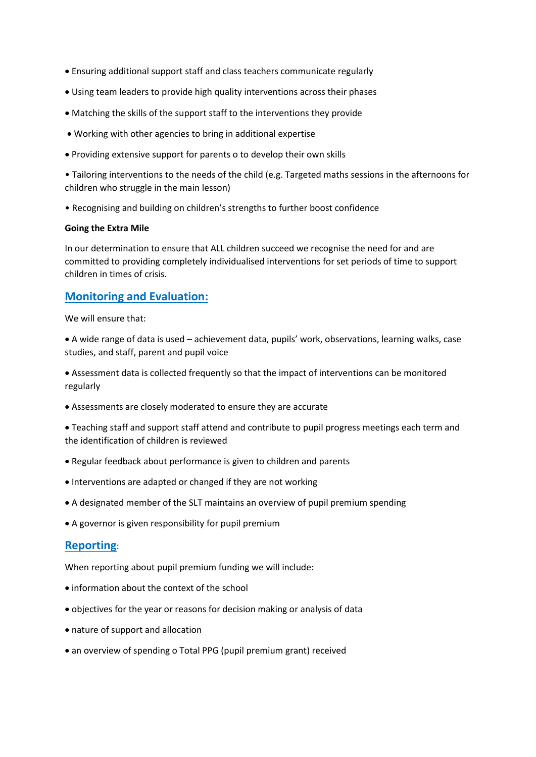- Ensuring additional support staff and class teachers communicate regularly
- Using team leaders to provide high quality interventions across their phases
- Matching the skills of the support staff to the interventions they provide
- Working with other agencies to bring in additional expertise
- Providing extensive support for parents o to develop their own skills

• Tailoring interventions to the needs of the child (e.g. Targeted maths sessions in the afternoons for children who struggle in the main lesson)

• Recognising and building on children's strengths to further boost confidence

#### **Going the Extra Mile**

In our determination to ensure that ALL children succeed we recognise the need for and are committed to providing completely individualised interventions for set periods of time to support children in times of crisis.

### **Monitoring and Evaluation:**

We will ensure that:

 A wide range of data is used – achievement data, pupils' work, observations, learning walks, case studies, and staff, parent and pupil voice

 Assessment data is collected frequently so that the impact of interventions can be monitored regularly

Assessments are closely moderated to ensure they are accurate

 Teaching staff and support staff attend and contribute to pupil progress meetings each term and the identification of children is reviewed

- Regular feedback about performance is given to children and parents
- Interventions are adapted or changed if they are not working
- A designated member of the SLT maintains an overview of pupil premium spending
- A governor is given responsibility for pupil premium

### **Reporting**:

When reporting about pupil premium funding we will include:

- information about the context of the school
- objectives for the year or reasons for decision making or analysis of data
- nature of support and allocation
- an overview of spending o Total PPG (pupil premium grant) received